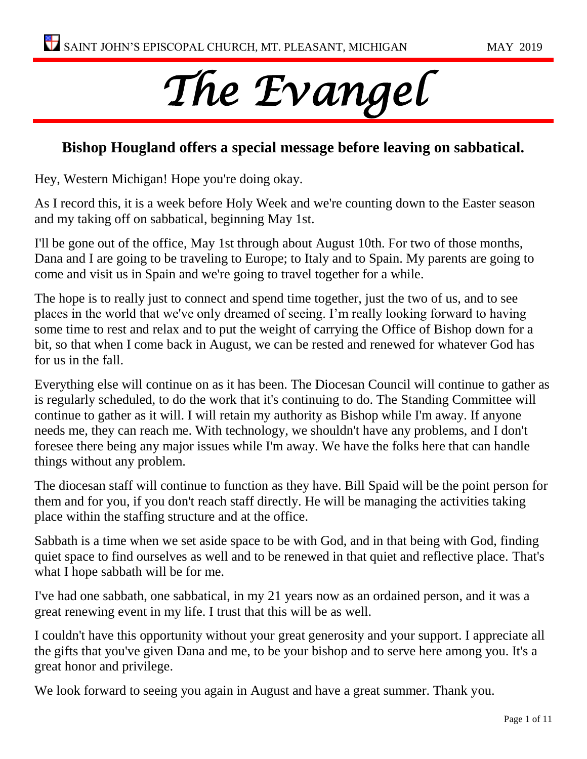# *The Evangel*

#### **Bishop Hougland offers a special message before leaving on sabbatical.**

Hey, Western Michigan! Hope you're doing okay.

As I record this, it is a week before Holy Week and we're counting down to the Easter season and my taking off on sabbatical, beginning May 1st.

I'll be gone out of the office, May 1st through about August 10th. For two of those months, Dana and I are going to be traveling to Europe; to Italy and to Spain. My parents are going to come and visit us in Spain and we're going to travel together for a while.

The hope is to really just to connect and spend time together, just the two of us, and to see places in the world that we've only dreamed of seeing. I'm really looking forward to having some time to rest and relax and to put the weight of carrying the Office of Bishop down for a bit, so that when I come back in August, we can be rested and renewed for whatever God has for us in the fall.

Everything else will continue on as it has been. The Diocesan Council will continue to gather as is regularly scheduled, to do the work that it's continuing to do. The Standing Committee will continue to gather as it will. I will retain my authority as Bishop while I'm away. If anyone needs me, they can reach me. With technology, we shouldn't have any problems, and I don't foresee there being any major issues while I'm away. We have the folks here that can handle things without any problem.

The diocesan staff will continue to function as they have. Bill Spaid will be the point person for them and for you, if you don't reach staff directly. He will be managing the activities taking place within the staffing structure and at the office.

Sabbath is a time when we set aside space to be with God, and in that being with God, finding quiet space to find ourselves as well and to be renewed in that quiet and reflective place. That's what I hope sabbath will be for me.

I've had one sabbath, one sabbatical, in my 21 years now as an ordained person, and it was a great renewing event in my life. I trust that this will be as well.

I couldn't have this opportunity without your great generosity and your support. I appreciate all the gifts that you've given Dana and me, to be your bishop and to serve here among you. It's a great honor and privilege.

We look forward to seeing you again in August and have a great summer. Thank you.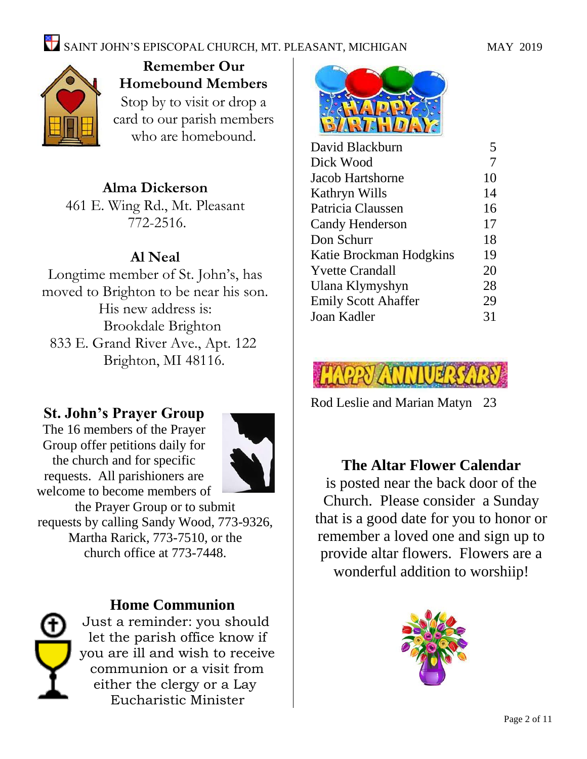

**Remember Our Homebound Members** Stop by to visit or drop a card to our parish members who are homebound.

#### **Alma Dickerson**

461 E. Wing Rd., Mt. Pleasant 772-2516.

#### **Al Neal**

Longtime member of St. John's, has moved to Brighton to be near his son. His new address is: Brookdale Brighton 833 E. Grand River Ave., Apt. 122 Brighton, MI 48116.

#### **St. John's Prayer Group**

The 16 members of the Prayer Group offer petitions daily for the church and for specific requests. All parishioners are welcome to become members of



the Prayer Group or to submit requests by calling Sandy Wood, 773-9326, Martha Rarick, 773-7510, or the church office at 773-7448.

#### **Home Communion** Just a reminder: you should

let the parish office know if you are ill and wish to receive communion or a visit from either the clergy or a Lay Eucharistic Minister



| David Blackburn            | 5  |
|----------------------------|----|
| Dick Wood                  | 7  |
| Jacob Hartshorne           | 10 |
| Kathryn Wills              | 14 |
| Patricia Claussen          | 16 |
| Candy Henderson            | 17 |
| Don Schurr                 | 18 |
| Katie Brockman Hodgkins    | 19 |
| <b>Yvette Crandall</b>     | 20 |
| Ulana Klymyshyn            | 28 |
| <b>Emily Scott Ahaffer</b> | 29 |
| Joan Kadler                | 31 |
|                            |    |



Rod Leslie and Marian Matyn 23

#### **The Altar Flower Calendar**

is posted near the back door of the Church. Please consider a Sunday that is a good date for you to honor or remember a loved one and sign up to provide altar flowers. Flowers are a wonderful addition to worshiip!

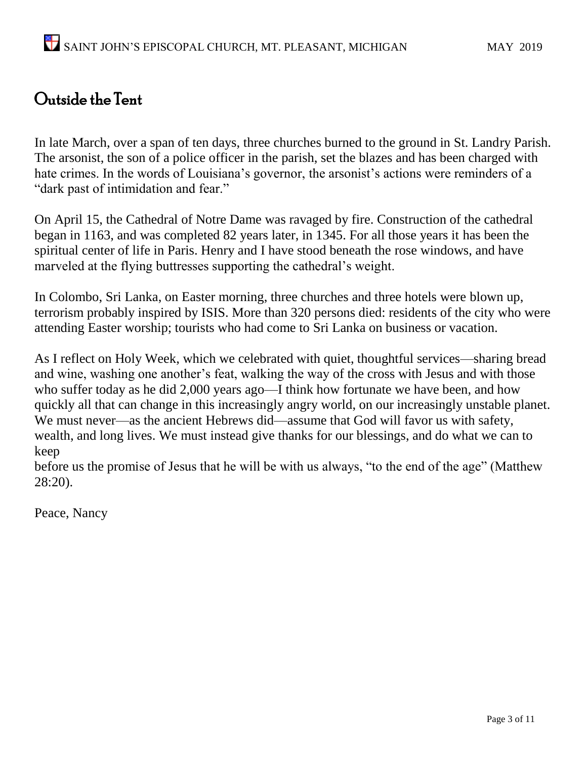## Outside the Tent

In late March, over a span of ten days, three churches burned to the ground in St. Landry Parish. The arsonist, the son of a police officer in the parish, set the blazes and has been charged with hate crimes. In the words of Louisiana's governor, the arsonist's actions were reminders of a "dark past of intimidation and fear."

On April 15, the Cathedral of Notre Dame was ravaged by fire. Construction of the cathedral began in 1163, and was completed 82 years later, in 1345. For all those years it has been the spiritual center of life in Paris. Henry and I have stood beneath the rose windows, and have marveled at the flying buttresses supporting the cathedral's weight.

In Colombo, Sri Lanka, on Easter morning, three churches and three hotels were blown up, terrorism probably inspired by ISIS. More than 320 persons died: residents of the city who were attending Easter worship; tourists who had come to Sri Lanka on business or vacation.

As I reflect on Holy Week, which we celebrated with quiet, thoughtful services—sharing bread and wine, washing one another's feat, walking the way of the cross with Jesus and with those who suffer today as he did 2,000 years ago—I think how fortunate we have been, and how quickly all that can change in this increasingly angry world, on our increasingly unstable planet. We must never—as the ancient Hebrews did—assume that God will favor us with safety, wealth, and long lives. We must instead give thanks for our blessings, and do what we can to keep

before us the promise of Jesus that he will be with us always, "to the end of the age" (Matthew 28:20).

Peace, Nancy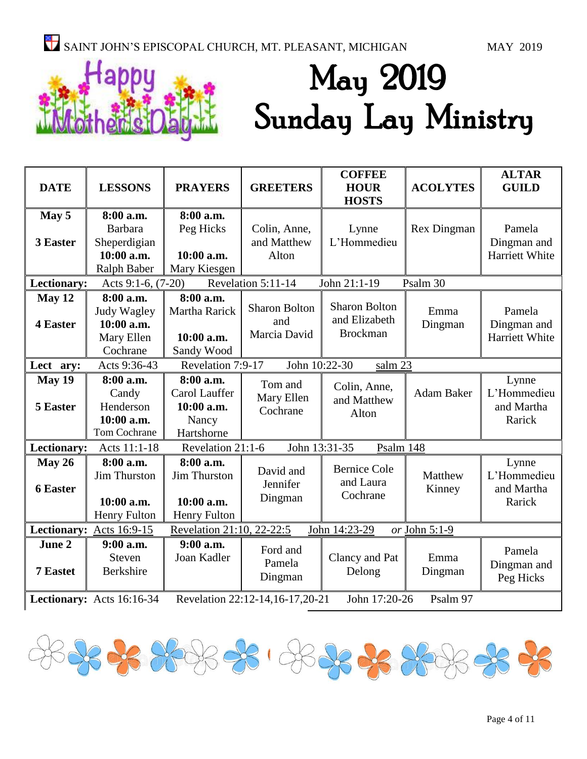

# May 2019 Sunday Lay Ministry

| <b>DATE</b>                                                                               | <b>LESSONS</b>                                                           | <b>PRAYERS</b>                                                  | <b>GREETERS</b>                             | <b>COFFEE</b><br><b>HOUR</b><br><b>HOSTS</b>             | <b>ACOLYTES</b>   | <b>ALTAR</b><br><b>GUILD</b>                 |
|-------------------------------------------------------------------------------------------|--------------------------------------------------------------------------|-----------------------------------------------------------------|---------------------------------------------|----------------------------------------------------------|-------------------|----------------------------------------------|
| May 5<br>3 Easter                                                                         | 8:00 a.m.<br>Barbara<br>Sheperdigian<br>10:00 a.m.<br><b>Ralph Baber</b> | 8:00 a.m.<br>Peg Hicks<br>$10:00$ a.m.<br>Mary Kiesgen          | Colin, Anne,<br>and Matthew<br>Alton        | Lynne<br>L'Hommedieu                                     | Rex Dingman       | Pamela<br>Dingman and<br>Harriett White      |
| Lectionary:                                                                               | Acts 9:1-6, (7-20)                                                       |                                                                 | Revelation 5:11-14                          | John 21:1-19                                             | Psalm 30          |                                              |
| May 12<br><b>4 Easter</b>                                                                 | 8:00 a.m.<br>Judy Wagley<br>10:00 a.m.<br>Mary Ellen<br>Cochrane         | 8:00 a.m.<br>Martha Rarick<br>10:00 a.m.<br>Sandy Wood          | <b>Sharon Bolton</b><br>and<br>Marcia David | <b>Sharon Bolton</b><br>and Elizabeth<br><b>Brockman</b> | Emma<br>Dingman   | Pamela<br>Dingman and<br>Harriett White      |
| Revelation 7:9-17<br>Acts 9:36-43<br>John 10:22-30<br>salm 23<br>Lect ary:                |                                                                          |                                                                 |                                             |                                                          |                   |                                              |
| May 19<br>5 Easter                                                                        | 8:00 a.m.<br>Candy<br>Henderson<br>10:00 a.m.<br>Tom Cochrane            | 8:00 a.m.<br>Carol Lauffer<br>10:00 a.m.<br>Nancy<br>Hartshorne | Tom and<br>Mary Ellen<br>Cochrane           | Colin, Anne,<br>and Matthew<br>Alton                     | <b>Adam Baker</b> | Lynne<br>L'Hommedieu<br>and Martha<br>Rarick |
| Lectionary:                                                                               | Acts 11:1-18                                                             | Revelation 21:1-6                                               | John 13:31-35                               | Psalm 148                                                |                   |                                              |
| May 26<br><b>6 Easter</b>                                                                 | 8:00 a.m.<br><b>Jim Thurston</b><br>10:00 a.m.<br>Henry Fulton           | 8:00 a.m.<br><b>Jim Thurston</b><br>10:00 a.m.<br>Henry Fulton  | David and<br>Jennifer<br>Dingman            | <b>Bernice Cole</b><br>and Laura<br>Cochrane             | Matthew<br>Kinney | Lynne<br>L'Hommedieu<br>and Martha<br>Rarick |
| Revelation 21:10, 22-22:5<br>Lectionary: Acts 16:9-15<br>John 14:23-29<br>or John 5:1-9   |                                                                          |                                                                 |                                             |                                                          |                   |                                              |
| June 2<br>7 Eastet                                                                        | $9:00$ a.m.<br>Steven<br>Berkshire                                       | $9:00$ a.m.<br>Joan Kadler                                      | Ford and<br>Pamela<br>Dingman               | Clancy and Pat<br>Delong                                 | Emma<br>Dingman   | Pamela<br>Dingman and<br>Peg Hicks           |
| Revelation 22:12-14,16-17,20-21<br>John 17:20-26<br>Psalm 97<br>Lectionary: Acts 16:16-34 |                                                                          |                                                                 |                                             |                                                          |                   |                                              |

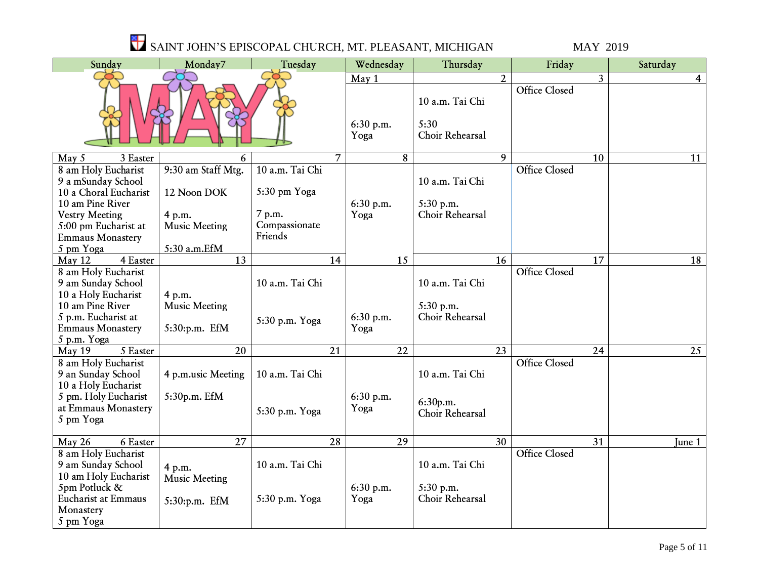| Sunday                                                                                                                                                                          | Monday7                                                                             | Tuesday                                                               |                | Wednesday                  | Thursday                                        |                 | Friday               |                | Saturday       |
|---------------------------------------------------------------------------------------------------------------------------------------------------------------------------------|-------------------------------------------------------------------------------------|-----------------------------------------------------------------------|----------------|----------------------------|-------------------------------------------------|-----------------|----------------------|----------------|----------------|
|                                                                                                                                                                                 |                                                                                     |                                                                       |                | May 1<br>6:30 p.m.<br>Yoga | 10 a.m. Tai Chi<br>5:30<br>Choir Rehearsal      | $\overline{2}$  | <b>Office Closed</b> | $\overline{3}$ | $\overline{4}$ |
| 3 Easter<br>May 5                                                                                                                                                               | 6                                                                                   |                                                                       | $\overline{7}$ | 8                          |                                                 | 9               |                      | 10             | 11             |
| 8 am Holy Eucharist<br>9 a mSunday School<br>10 a Choral Eucharist<br>10 am Pine River<br><b>Vestry Meeting</b><br>5:00 pm Eucharist at<br><b>Emmaus Monastery</b><br>5 pm Yoga | 9:30 am Staff Mtg.<br>12 Noon DOK<br>4 p.m.<br><b>Music Meeting</b><br>5:30 a.m.EfM | 10 a.m. Tai Chi<br>5:30 pm Yoga<br>7 p.m.<br>Compassionate<br>Friends |                | $6:30$ p.m.<br>Yoga        | 10 a.m. Tai Chi<br>5:30 p.m.<br>Choir Rehearsal |                 | <b>Office Closed</b> |                |                |
| $\overline{4}$ Easter<br>May 12                                                                                                                                                 | 13                                                                                  |                                                                       | 14             | 15                         |                                                 | 16              |                      | 17             | 18             |
| 8 am Holy Eucharist<br>9 am Sunday School<br>10 a Holy Eucharist<br>10 am Pine River<br>5 p.m. Eucharist at<br><b>Emmaus Monastery</b><br>5 p.m. Yoga                           | 4 p.m.<br><b>Music Meeting</b><br>5:30:p.m. EfM                                     | 10 a.m. Tai Chi<br>5:30 p.m. Yoga                                     |                | 6:30 p.m.<br>Yoga          | 10 a.m. Tai Chi<br>5:30 p.m.<br>Choir Rehearsal |                 | <b>Office Closed</b> |                |                |
| $\overline{5}$ Easter<br>May 19                                                                                                                                                 | $\overline{20}$                                                                     |                                                                       | 21             | $\overline{22}$            |                                                 | $\overline{23}$ |                      | 24             | 25             |
| 8 am Holy Eucharist<br>9 an Sunday School<br>10 a Holy Eucharist<br>5 pm. Holy Eucharist<br>at Emmaus Monastery<br>5 pm Yoga                                                    | 4 p.m.usic Meeting<br>5:30p.m. EfM                                                  | 10 a.m. Tai Chi<br>5:30 p.m. Yoga                                     |                | 6:30 p.m.<br>Yoga          | 10 a.m. Tai Chi<br>6:30p.m.<br>Choir Rehearsal  |                 | <b>Office Closed</b> |                |                |
| $6$ Easter<br>May 26                                                                                                                                                            | 27                                                                                  |                                                                       | 28             | 29                         |                                                 | 30              |                      | 31             | June 1         |
| 8 am Holy Eucharist<br>9 am Sunday School<br>10 am Holy Eucharist<br>5pm Potluck &<br><b>Eucharist at Emmaus</b><br>Monastery<br>5 pm Yoga                                      | 4 p.m.<br><b>Music Meeting</b><br>5:30:p.m. EfM                                     | 10 a.m. Tai Chi<br>5:30 p.m. Yoga                                     |                | 6:30 p.m.<br>Yoga          | 10 a.m. Tai Chi<br>5:30 p.m.<br>Choir Rehearsal |                 | <b>Office Closed</b> |                |                |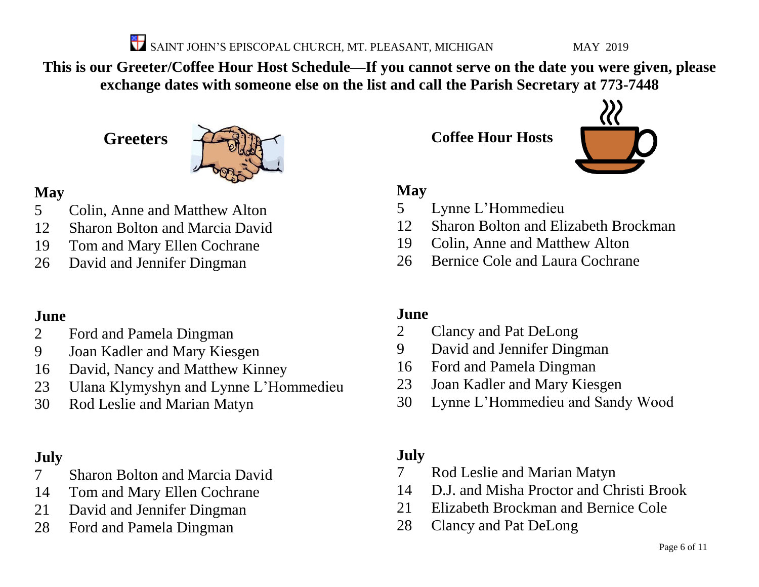**This is our Greeter/Coffee Hour Host Schedule—If you cannot serve on the date you were given, please exchange dates with someone else on the list and call the Parish Secretary at 773-7448**

**Greeters**



#### **May**

- Colin, Anne and Matthew Alton
- Sharon Bolton and Marcia David
- Tom and Mary Ellen Cochrane
- David and Jennifer Dingman

#### **June**

- Ford and Pamela Dingman
- Joan Kadler and Mary Kiesgen
- David, Nancy and Matthew Kinney
- Ulana Klymyshyn and Lynne L'Hommedieu
- Rod Leslie and Marian Matyn

### **July**

- Sharon Bolton and Marcia David
- Tom and Mary Ellen Cochrane
- David and Jennifer Dingman
- Ford and Pamela Dingman

**Coffee Hour Hosts**



#### **May**

- Lynne L'Hommedieu
- Sharon Bolton and Elizabeth Brockman
- Colin, Anne and Matthew Alton
- Bernice Cole and Laura Cochrane

#### **June**

- Clancy and Pat DeLong
- David and Jennifer Dingman
- Ford and Pamela Dingman
- Joan Kadler and Mary Kiesgen
- Lynne L'Hommedieu and Sandy Wood

### **July**

- Rod Leslie and Marian Matyn
- D.J. and Misha Proctor and Christi Brook
- Elizabeth Brockman and Bernice Cole
- Clancy and Pat DeLong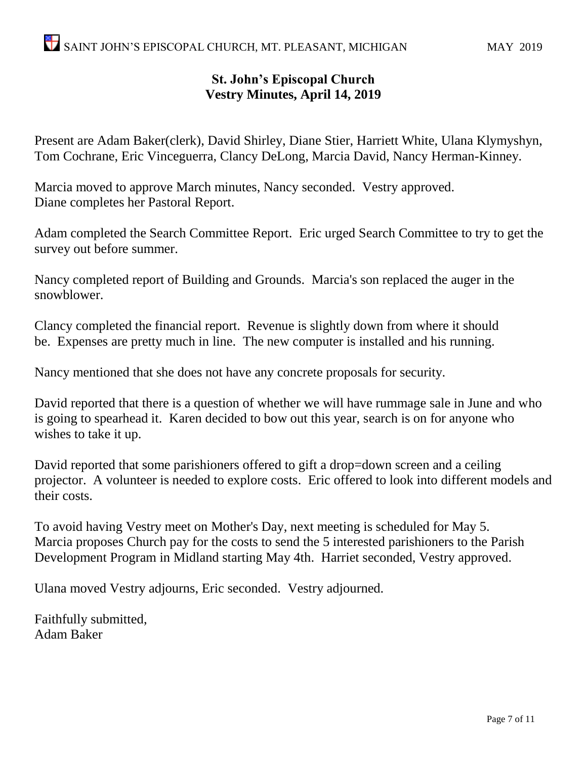#### **St. John's Episcopal Church Vestry Minutes, April 14, 2019**

Present are Adam Baker(clerk), David Shirley, Diane Stier, Harriett White, Ulana Klymyshyn, Tom Cochrane, Eric Vinceguerra, Clancy DeLong, Marcia David, Nancy Herman-Kinney.

Marcia moved to approve March minutes, Nancy seconded. Vestry approved. Diane completes her Pastoral Report.

Adam completed the Search Committee Report. Eric urged Search Committee to try to get the survey out before summer.

Nancy completed report of Building and Grounds. Marcia's son replaced the auger in the snowblower.

Clancy completed the financial report. Revenue is slightly down from where it should be. Expenses are pretty much in line. The new computer is installed and his running.

Nancy mentioned that she does not have any concrete proposals for security.

David reported that there is a question of whether we will have rummage sale in June and who is going to spearhead it. Karen decided to bow out this year, search is on for anyone who wishes to take it up.

David reported that some parishioners offered to gift a drop=down screen and a ceiling projector. A volunteer is needed to explore costs. Eric offered to look into different models and their costs.

To avoid having Vestry meet on Mother's Day, next meeting is scheduled for May 5. Marcia proposes Church pay for the costs to send the 5 interested parishioners to the Parish Development Program in Midland starting May 4th. Harriet seconded, Vestry approved.

Ulana moved Vestry adjourns, Eric seconded. Vestry adjourned.

Faithfully submitted, Adam Baker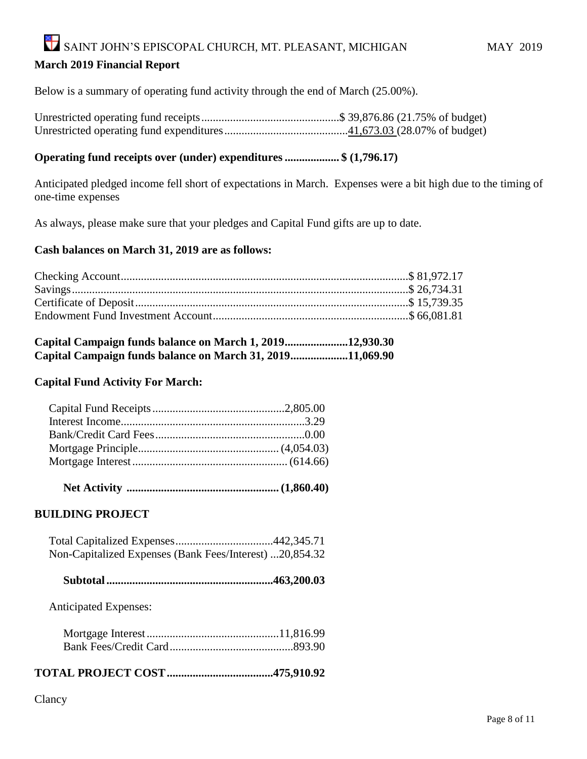#### SAINT JOHN'S EPISCOPAL CHURCH, MT. PLEASANT, MICHIGAN MAY 2019 **March 2019 Financial Report**

Below is a summary of operating fund activity through the end of March (25.00%).

Unrestricted operating fund receipts................................................\$ 39,876.86 (21.75% of budget) Unrestricted operating fund expenditures...........................................41,673.03 (28.07% of budget)

#### **Operating fund receipts over (under) expenditures................... \$ (1,796.17)**

Anticipated pledged income fell short of expectations in March. Expenses were a bit high due to the timing of one-time expenses

As always, please make sure that your pledges and Capital Fund gifts are up to date.

#### **Cash balances on March 31, 2019 are as follows:**

| Capital Campaign funds balance on March 1, 201912,930.30  |  |
|-----------------------------------------------------------|--|
| Capital Campaign funds balance on March 31, 201911,069.90 |  |

#### **Capital Fund Activity For March:**

 **Net Activity ..................................................... (1,860.40)**

#### **BUILDING PROJECT**

| Non-Capitalized Expenses (Bank Fees/Interest) 20,854.32 |  |
|---------------------------------------------------------|--|

|--|--|--|--|

Anticipated Expenses:

#### **TOTAL PROJECT COST.....................................475,910.92**

#### Clancy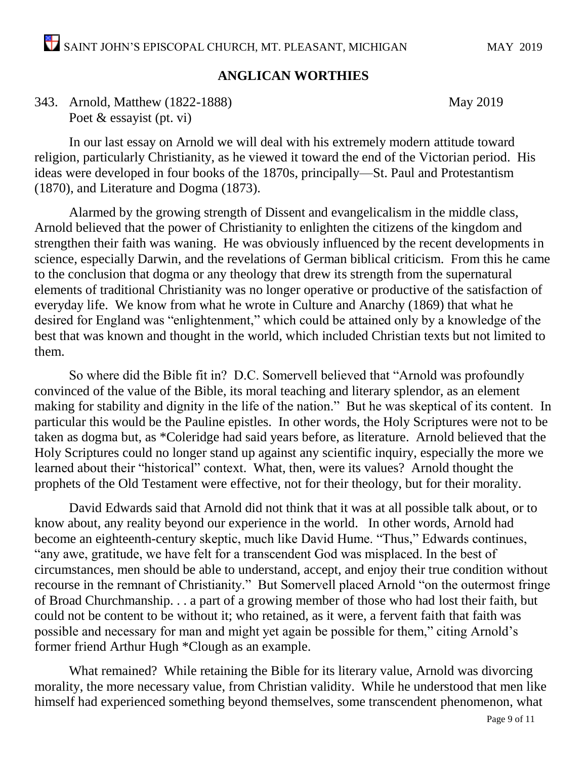#### **ANGLICAN WORTHIES**

343. Arnold, Matthew (1822-1888) May 2019 Poet & essayist (pt. vi)

In our last essay on Arnold we will deal with his extremely modern attitude toward religion, particularly Christianity, as he viewed it toward the end of the Victorian period. His ideas were developed in four books of the 1870s, principally—St. Paul and Protestantism (1870), and Literature and Dogma (1873).

Alarmed by the growing strength of Dissent and evangelicalism in the middle class, Arnold believed that the power of Christianity to enlighten the citizens of the kingdom and strengthen their faith was waning. He was obviously influenced by the recent developments in science, especially Darwin, and the revelations of German biblical criticism. From this he came to the conclusion that dogma or any theology that drew its strength from the supernatural elements of traditional Christianity was no longer operative or productive of the satisfaction of everyday life. We know from what he wrote in Culture and Anarchy (1869) that what he desired for England was "enlightenment," which could be attained only by a knowledge of the best that was known and thought in the world, which included Christian texts but not limited to them.

So where did the Bible fit in? D.C. Somervell believed that "Arnold was profoundly convinced of the value of the Bible, its moral teaching and literary splendor, as an element making for stability and dignity in the life of the nation." But he was skeptical of its content. In particular this would be the Pauline epistles. In other words, the Holy Scriptures were not to be taken as dogma but, as \*Coleridge had said years before, as literature. Arnold believed that the Holy Scriptures could no longer stand up against any scientific inquiry, especially the more we learned about their "historical" context. What, then, were its values? Arnold thought the prophets of the Old Testament were effective, not for their theology, but for their morality.

David Edwards said that Arnold did not think that it was at all possible talk about, or to know about, any reality beyond our experience in the world. In other words, Arnold had become an eighteenth-century skeptic, much like David Hume. "Thus," Edwards continues, "any awe, gratitude, we have felt for a transcendent God was misplaced. In the best of circumstances, men should be able to understand, accept, and enjoy their true condition without recourse in the remnant of Christianity." But Somervell placed Arnold "on the outermost fringe of Broad Churchmanship. . . a part of a growing member of those who had lost their faith, but could not be content to be without it; who retained, as it were, a fervent faith that faith was possible and necessary for man and might yet again be possible for them," citing Arnold's former friend Arthur Hugh \*Clough as an example.

What remained? While retaining the Bible for its literary value, Arnold was divorcing morality, the more necessary value, from Christian validity. While he understood that men like himself had experienced something beyond themselves, some transcendent phenomenon, what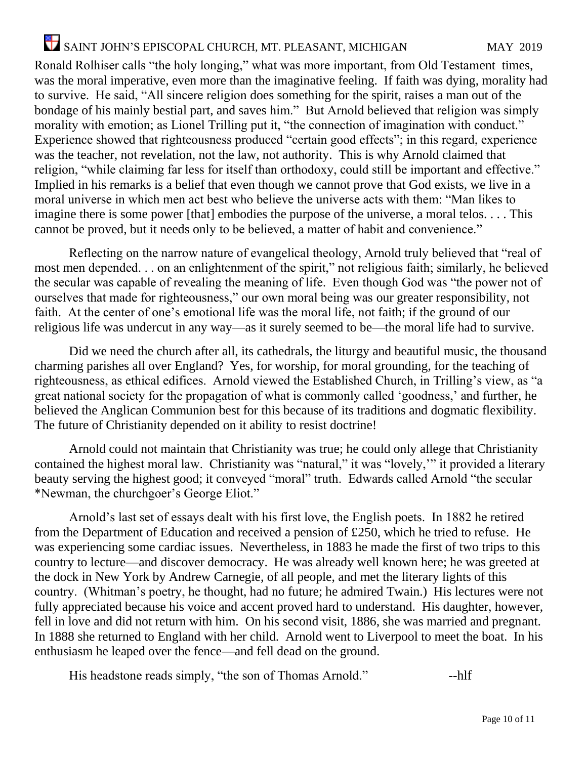Ronald Rolhiser calls "the holy longing," what was more important, from Old Testament times, was the moral imperative, even more than the imaginative feeling. If faith was dying, morality had to survive. He said, "All sincere religion does something for the spirit, raises a man out of the bondage of his mainly bestial part, and saves him." But Arnold believed that religion was simply morality with emotion; as Lionel Trilling put it, "the connection of imagination with conduct." Experience showed that righteousness produced "certain good effects"; in this regard, experience was the teacher, not revelation, not the law, not authority. This is why Arnold claimed that religion, "while claiming far less for itself than orthodoxy, could still be important and effective." Implied in his remarks is a belief that even though we cannot prove that God exists, we live in a moral universe in which men act best who believe the universe acts with them: "Man likes to imagine there is some power [that] embodies the purpose of the universe, a moral telos.... This cannot be proved, but it needs only to be believed, a matter of habit and convenience."

Reflecting on the narrow nature of evangelical theology, Arnold truly believed that "real of most men depended. . . on an enlightenment of the spirit," not religious faith; similarly, he believed the secular was capable of revealing the meaning of life. Even though God was "the power not of ourselves that made for righteousness," our own moral being was our greater responsibility, not faith. At the center of one's emotional life was the moral life, not faith; if the ground of our religious life was undercut in any way—as it surely seemed to be—the moral life had to survive.

Did we need the church after all, its cathedrals, the liturgy and beautiful music, the thousand charming parishes all over England? Yes, for worship, for moral grounding, for the teaching of righteousness, as ethical edifices. Arnold viewed the Established Church, in Trilling's view, as "a great national society for the propagation of what is commonly called 'goodness,' and further, he believed the Anglican Communion best for this because of its traditions and dogmatic flexibility. The future of Christianity depended on it ability to resist doctrine!

Arnold could not maintain that Christianity was true; he could only allege that Christianity contained the highest moral law. Christianity was "natural," it was "lovely,'" it provided a literary beauty serving the highest good; it conveyed "moral" truth. Edwards called Arnold "the secular \*Newman, the churchgoer's George Eliot."

Arnold's last set of essays dealt with his first love, the English poets. In 1882 he retired from the Department of Education and received a pension of £250, which he tried to refuse. He was experiencing some cardiac issues. Nevertheless, in 1883 he made the first of two trips to this country to lecture—and discover democracy. He was already well known here; he was greeted at the dock in New York by Andrew Carnegie, of all people, and met the literary lights of this country. (Whitman's poetry, he thought, had no future; he admired Twain.) His lectures were not fully appreciated because his voice and accent proved hard to understand. His daughter, however, fell in love and did not return with him. On his second visit, 1886, she was married and pregnant. In 1888 she returned to England with her child. Arnold went to Liverpool to meet the boat. In his enthusiasm he leaped over the fence—and fell dead on the ground.

His headstone reads simply, "the son of Thomas Arnold." --- hlf